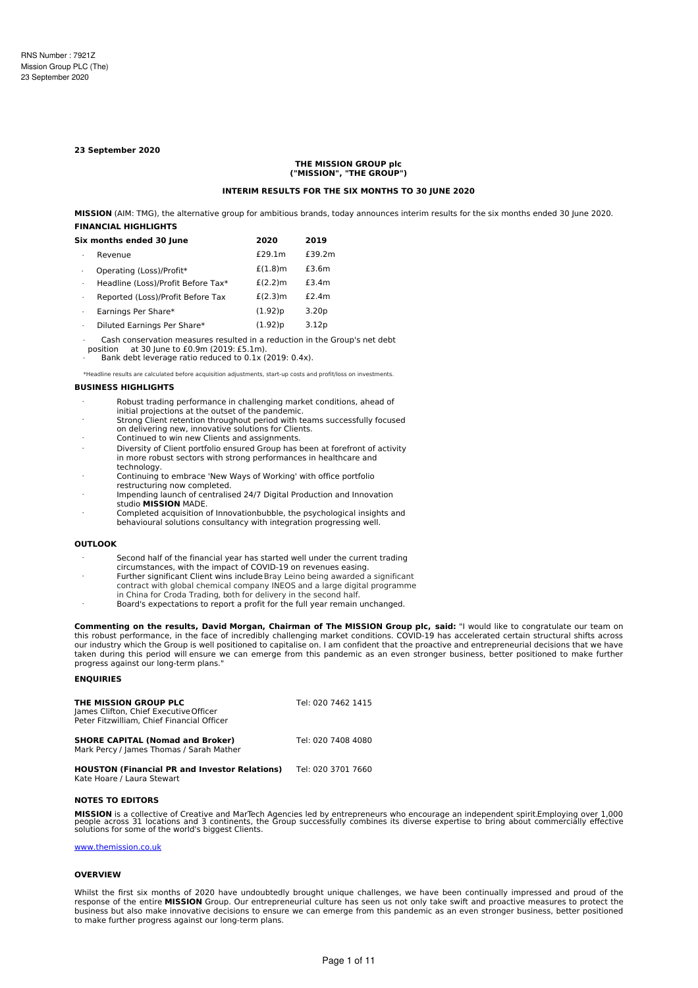#### **23 September 2020**

#### **THE MISSION GROUP plc ("MISSION", "THE GROUP")**

#### **INTERIM RESULTS FOR THE SIX MONTHS TO 30 JUNE 2020**

**MISSION** (AIM: TMG), the alternative group for ambitious brands, today announces interim results for the six months ended 30 June 2020. **FINANCIAL HIGHLIGHTS**

|   | Six months ended 30 June           | 2020       | 2019              |
|---|------------------------------------|------------|-------------------|
| ٠ | Revenue                            | £29.1m     | £39.2m            |
|   | Operating (Loss)/Profit*           | $£(1.8)$ m | £3.6m             |
| ٠ | Headline (Loss)/Profit Before Tax* | £(2.2)m    | £3.4m             |
| ٠ | Reported (Loss)/Profit Before Tax  | £(2.3)m    | £2.4m             |
| ٠ | Earnings Per Share*                | (1.92)p    | 3.20 <sub>p</sub> |
| ٠ | Diluted Earnings Per Share*        | (1.92)p    | 3.12p             |

· Cash conservation measures resulted in a reduction in the Group's net debt

at 30 June to £0.9m (2019: £5.1m).

Bank debt leverage ratio reduced to 0.1x (2019: 0.4x).

\*Headline results are calculated before acquisition adjustments, start-up costs and profit/loss on investments.

#### **BUSINESS HIGHLIGHTS**

- Robust trading performance in challenging market conditions, ahead of
- initial projections at the outset of the pandemic. Strong Client retention throughout period with teams successfully focused
- on delivering new, innovative solutions for Clients.
- · Continued to win new Clients and assignments.
- · Diversity of Client portfolio ensured Group has been at forefront of activity in more robust sectors with strong performances in healthcare and technology.
- Continuing to embrace 'New Ways of Working' with office portfolio restructuring now completed.
- Impending launch of centralised 24/7 Digital Production and Innovation studio **MISSION** MADE.
- Completed acquisition of Innovationbubble, the psychological insights and behavioural solutions consultancy with integration progressing well.

### **OUTLOOK**

- · Second half of the financial year has started well under the current trading circumstances, with the impact of COVID-19 on revenues easing.
- · Further significant Client wins includeBray Leino being awarded a significant contract with global chemical company INEOS and a large digital programme
- in China for Croda Trading, both for delivery in the second half.

· Board's expectations to report a profit for the full year remain unchanged.

**Commenting on the results, David Morgan, Chairman of The MISSION Group plc, said:** "I would like to congratulate our team on this robust performance, in the face of incredibly challenging market conditions. COVID-19 has accelerated certain structural shifts across our industry which the Group is well positioned to capitalise on. I am confident that the proactive and entrepreneurial decisions that we have taken during this period will ensure we can emerge from this pandemic as an even stronger business, better positioned to make further progress against our long-term plans.

### **ENQUIRIES**

| THE MISSION GROUP PLC<br>James Clifton, Chief Executive Officer<br>Peter Fitzwilliam, Chief Financial Officer | Tel: 020 7462 1415 |
|---------------------------------------------------------------------------------------------------------------|--------------------|
| <b>SHORE CAPITAL (Nomad and Broker)</b><br>Mark Percy / James Thomas / Sarah Mather                           | Tel: 020 7408 4080 |
| <b>HOUSTON (Financial PR and Investor Relations)</b><br>Kate Hoare / Laura Stewart                            | Tel: 020 3701 7660 |

### **NOTES TO EDITORS**

**MISSION** is a collective of Creative and MarTech Agencies led by entrepreneurs who encourage an independent spirit.Employing over 1,000<br>people across 31 locations and 3 continents, the Group successfully combines its dive

### [www.themission.co.uk](http://www.themission.co.uk/)

#### **OVERVIEW**

Whilst the first six months of 2020 have undoubtedly brought unique challenges, we have been continually impressed and proud of the response of the entire **MISSION** Group. Our entrepreneurial culture has seen us not only take swift and proactive measures to protect the business but also make innovative decisions to ensure we can emerge from this pandemic as an even stronger business, better positioned to make further progress against our long-term plans.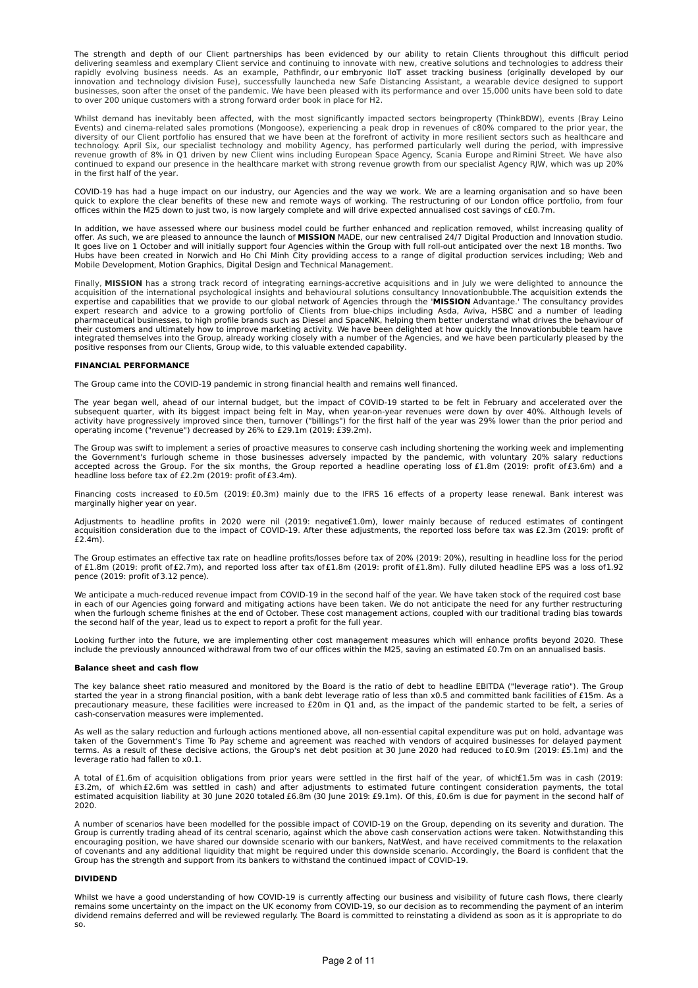The strength and depth of our Client partnerships has been evidenced by our ability to retain Clients throughout this difficult period<br>delivering seamless and exemplary Client service and continuing to innovate with new, c rapidly evolving business needs. As an example, Pathfindr, our embryonic IIoT asset tracking business (originally developed by our innovation and technology division Fuse), successfully launcheda new Safe Distancing Assistant, a wearable device designed to support businesses, soon after the onset of the pandemic. We have been pleased with its performance and over 15,000 units have been sold to date to over 200 unique customers with a strong forward order book in place for H2.

Whilst demand has inevitably been affected, with the most significantly impacted sectors beingproperty (ThinkBDW), events (Bray Leino Events) and cinema-related sales promotions (Mongoose), experiencing a peak drop in revenues of c80% compared to the prior year, the diversity of our Client portfolio has ensured that we have been at the forefront of activity in more resilient sectors such as healthcare and<br>technology. April Six, our specialist technology and mobility Agency, has perfor continued to expand our presence in the healthcare market with strong revenue growth from our specialist Agency RJW, which was up 20% in the first half of the year.

COVID-19 has had a huge impact on our industry, our Agencies and the way we work. We are a learning organisation and so have been quick to explore the clear benefits of these new and remote ways of working. The restructuring of our London office portfolio, from four offices within the M25 down to just two, is now largely complete and will drive expected annualised cost savings of c£0.7m.

In addition, we have assessed where our business model could be further enhanced and replication removed, whilst increasing quality of<br>offer. As such, we are pleased to announce the launch of **MISSION** MADE, our new centra It goes live on 1 October and will initially support four Agencies within the Group with full roll-out anticipated over the next 18 months. Two Hubs have been created in Norwich and Ho Chi Minh City providing access to a range of digital production services including; Web and Mobile Development, Motion Graphics, Digital Design and Technical Management.

Finally, MISSION has a strong track record of integrating earnings-accretive acquisitions and in July we were delighted to announce the acquisition of the international psychological insights and behavioural solutions consultancy Innovationbubble.The acquisition extends the<br>expertise and capabilities that we provide to our global network of Agencies throug expert research and advice to a growing portfolio of Clients from blue-chips including Asda, Aviva, HSBC and a number of leading<br>pharmaceutical businesses, to high profile brands such as Diesel and SpaceNK, helping them be their customers and ultimately how to improve marketing activity. We have been delighted at how quickly the Innovationbubble team have integrated themselves into the Group, already working closely with a number of the Agencies, and we have been particularly pleased by the positive responses from our Clients, Group wide, to this valuable extended capability.

### **FINANCIAL PERFORMANCE**

The Group came into the COVID-19 pandemic in strong financial health and remains well financed.

The year began well, ahead of our internal budget, but the impact of COVID-19 started to be felt in February and accelerated over the<br>subsequent quarter, with its biggest impact being felt in May, when year-on-year revenue operating income ("revenue") decreased by 26% to £29.1m (2019: £39.2m).

The Group was swift to implement a series of proactive measures to conserve cash including shortening the working week and implementing the Government's furlough scheme in those businesses adversely impacted by the pandemic, with voluntary 20% salary reductions accepted across the Group. For the six months, the Group reported a headline operating loss of £1.8m (2019: profit of£3.6m) and a headline loss before tax of £2.2m (2019: profit of £3.4m).

Financing costs increased to £0.5m (2019: £0.3m) mainly due to the IFRS 16 effects of a property lease renewal. Bank interest was marginally higher year on year.

Adjustments to headline profits in 2020 were nil (2019: negative£1.0m), lower mainly because of reduced estimates of contingent<br>acquisition consideration due to the impact of COVID-19. After these adjustments, the reported £2.4m).

The Group estimates an effective tax rate on headline profits/losses before tax of 20% (2019: 20%), resulting in headline loss for the period<br>of £1.8m (2019: profit of£2.7m), and reported loss after tax of£1.8m (2019: prof

We anticipate a much-reduced revenue impact from COVID-19 in the second half of the year. We have taken stock of the required cost base in each of our Agencies going forward and mitigating actions have been taken. We do not anticipate the need for any further restructuring<br>when the furlough scheme finishes at the end of October. These cost management actio the second half of the year, lead us to expect to report a profit for the full year.

Looking further into the future, we are implementing other cost management measures which will enhance profits beyond 2020. These include the previously announced withdrawal from two of our offices within the M25, saving an estimated £0.7m on an annualised basis.

#### **Balance sheet and cash flow**

The key balance sheet ratio measured and monitored by the Board is the ratio of debt to headline EBITDA ("leverage ratio"). The Group started the year in a strong financial position, with a bank debt leverage ratio of less than x0.5 and committed bank facilities of £15m. As a precautionary measure, these facilities were increased to £20m in Q1 and, as the impact of the pandemic started to be felt, a series of cash-conservation measures were implemented.

As well as the salary reduction and furlough actions mentioned above, all non-essential capital expenditure was put on hold, advantage was taken of the Government's Time To Pay scheme and agreement was reached with vendors of acquired businesses for delayed payment terms. As a result of these decisive actions, the Group's net debt position at 30 June 2020 had reduced to £0.9m (2019: £5.1m) and the leverage ratio had fallen to x0.1.

A total of£1.6m of acquisition obligations from prior years were settled in the first half of the year, of which£1.5m was in cash (2019:<br>£3.2m, of which£2.6m was settled in cash) and after adjustments to estimated future c estimated acquisition liability at 30 June 2020 totaled £6.8m (30 June 2019: £9.1m). Of this, £0.6m is due for payment in the second half of 2020.

A number of scenarios have been modelled for the possible impact of COVID-19 on the Group, depending on its severity and duration. The Group is currently trading ahead of its central scenario, against which the above cash conservation actions were taken. Notwithstanding this encouraging position, we have shared our downside scenario with our bankers, NatWest, and have received commitments to the relaxation of covenants and any additional liquidity that might be required under this downside scenario. Accordingly, the Board is confident that the<br>Group has the strength and support from its bankers to withstand the continued imp

### **DIVIDEND**

Whilst we have a good understanding of how COVID-19 is currently affecting our business and visibility of future cash flows, there clearly<br>remains some uncertainty on the impact on the UK economy from COVID-19, so our deci dividend remains deferred and will be reviewed regularly. The Board is committed to reinstating a dividend as soon as it is appropriate to do so.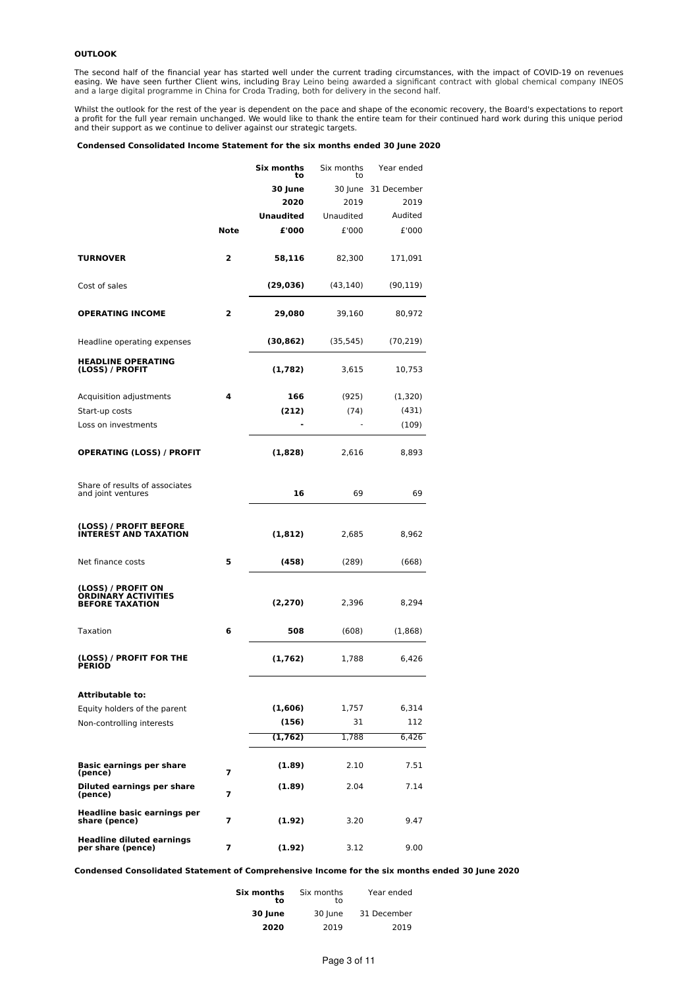### **OUTLOOK**

The second half of the financial year has started well under the current trading circumstances, with the impact of COVID-19 on revenues<br>easing. We have seen further Client wins, including Bray Leino being awarded a signifi and a large digital programme in China for Croda Trading, both for delivery in the second half.

Whilst the outlook for the rest of the year is dependent on the pace and shape of the economic recovery, the Board's expectations to report<br>a profit for the full year remain unchanged. We would like to thank the entire tea

### **Condensed Consolidated Income Statement for the six months ended 30 June 2020**

|                                                              |      | Six months<br>to | Six months<br>to | Year ended  |
|--------------------------------------------------------------|------|------------------|------------------|-------------|
|                                                              |      | 30 June          | 30 June          | 31 December |
|                                                              |      | 2020             | 2019             | 2019        |
|                                                              |      | <b>Unaudited</b> | Unaudited        | Audited     |
|                                                              | Note | £'000            | £'000            | £'000       |
|                                                              |      |                  |                  |             |
| <b>TURNOVER</b>                                              | 2    | 58,116           | 82,300           | 171,091     |
| Cost of sales                                                |      | (29, 036)        | (43, 140)        | (90, 119)   |
| <b>OPERATING INCOME</b>                                      | 2    | 29,080           | 39,160           | 80,972      |
| Headline operating expenses                                  |      | (30, 862)        | (35, 545)        | (70, 219)   |
| <b>HEADLINE OPERATING</b><br>(LOSS) / PROFIT                 |      | (1,782)          | 3,615            | 10,753      |
| Acquisition adjustments                                      | 4    | 166              | (925)            | (1,320)     |
| Start-up costs                                               |      | (212)            | (74)             | (431)       |
| Loss on investments                                          |      |                  |                  | (109)       |
| <b>OPERATING (LOSS) / PROFIT</b>                             |      | (1,828)          | 2,616            | 8,893       |
| Share of results of associates<br>and joint ventures         |      | 16               | 69               | 69          |
| (LOSS) / PROFIT BEFORE<br><b>INTEREST AND TAXATION</b>       |      | (1, 812)         | 2,685            | 8,962       |
| Net finance costs                                            | 5    | (458)            | (289)            | (668)       |
| (LOSS) / PROFIT ON<br>ORDINARY ACTIVITIES<br>BEFORE TAXATION |      | (2, 270)         | 2,396            | 8,294       |
| Taxation                                                     | 6    | 508              | (608)            | (1,868)     |
| (LOSS) / PROFIT FOR THE<br>PERIOD                            |      | (1,762)          | 1,788            | 6,426       |
| <b>Attributable to:</b>                                      |      |                  |                  |             |
| Equity holders of the parent                                 |      | (1,606)          | 1,757            | 6,314       |
| Non-controlling interests                                    |      | (156)            | 31               | 112         |
|                                                              |      | (1, 762)         | 1,788            | 6,426       |
| <b>Basic earnings per share</b><br>(pence)                   | 7    | (1.89)           | 2.10             | 7.51        |
| Diluted earnings per share<br>(pence)                        | 7    | (1.89)           | 2.04             | 7.14        |
| <b>Headline basic earnings per</b><br>share (pence)          | 7    | (1.92)           | 3.20             | 9.47        |
| <b>Headline diluted earnings</b><br>per share (pence)        | 7    | (1.92)           | 3.12             | 9.00        |

**Condensed Consolidated Statement of Comprehensive Income for the six months ended 30 June 2020**

| Six months<br>t٥ | Six months<br>t٥ | Year ended  |  |
|------------------|------------------|-------------|--|
| 30 June          | 30 June          | 31 December |  |
| 2020             | 2019             | 2019        |  |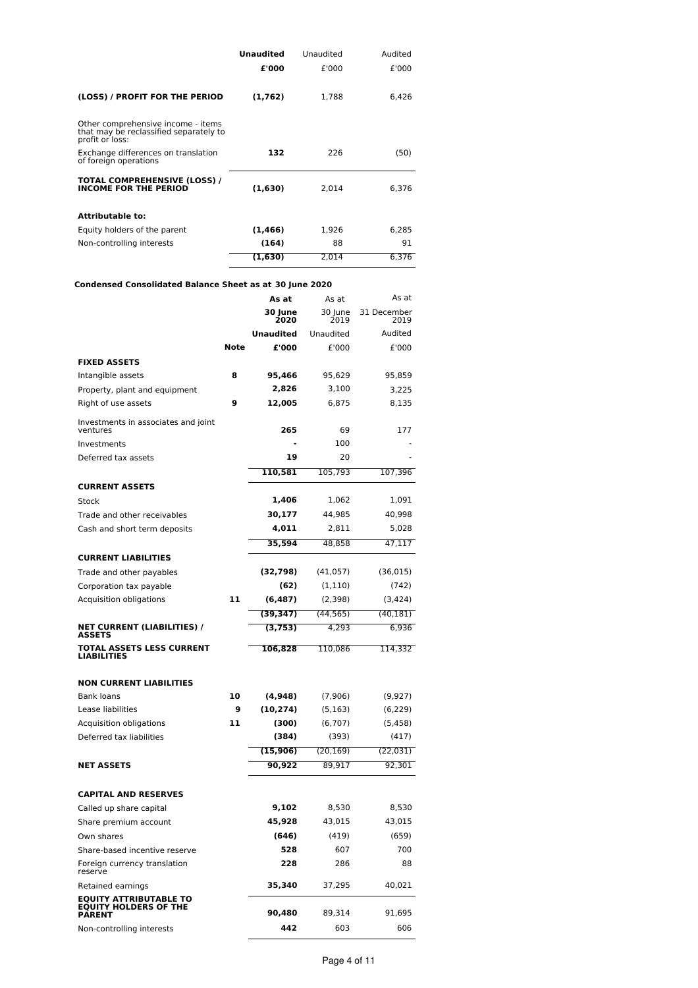|                                                                                                 | <b>Unaudited</b> | Unaudited | Audited |
|-------------------------------------------------------------------------------------------------|------------------|-----------|---------|
|                                                                                                 | £'000            | £'000     | £'000   |
| (LOSS) / PROFIT FOR THE PERIOD                                                                  | (1,762)          | 1,788     | 6,426   |
| Other comprehensive income - items<br>that may be reclassified separately to<br>profit or loss: |                  |           |         |
| Exchange differences on translation<br>of foreign operations                                    | 132              | 226       | (50)    |
| TOTAL COMPREHENSIVE (LOSS) /<br><b>INCOME FOR THE PERIOD</b>                                    | (1,630)          | 2.014     | 6.376   |
| <b>Attributable to:</b>                                                                         |                  |           |         |
| Equity holders of the parent                                                                    | (1,466)          | 1,926     | 6.285   |
| Non-controlling interests                                                                       | (164)            | 88        | 91      |
|                                                                                                 | (1.630)          | 2.014     | 6.376   |

# **Condensed Consolidated Balance Sheet as at 30 June 2020**

|                                                                                |      | As at            | As at           | As at               |
|--------------------------------------------------------------------------------|------|------------------|-----------------|---------------------|
|                                                                                |      | 30 June<br>2020  | 30 June<br>2019 | 31 December<br>2019 |
|                                                                                |      | <b>Unaudited</b> | Unaudited       | Audited             |
|                                                                                | Note | £'000            | £'000           | £'000               |
| <b>FIXED ASSETS</b>                                                            |      |                  |                 |                     |
| Intangible assets                                                              | 8    | 95,466           | 95,629          | 95,859              |
| Property, plant and equipment                                                  |      | 2,826            | 3,100           | 3,225               |
| Right of use assets                                                            | 9    | 12,005           | 6,875           | 8,135               |
| Investments in associates and joint<br>ventures                                |      | 265              | 69              | 177                 |
| Investments                                                                    |      |                  | 100             |                     |
| Deferred tax assets                                                            |      | 19               | 20              |                     |
|                                                                                |      | 110,581          | 105,793         | 107,396             |
| <b>CURRENT ASSETS</b>                                                          |      |                  |                 |                     |
| Stock                                                                          |      | 1,406            | 1,062           | 1,091               |
| Trade and other receivables                                                    |      | 30,177           | 44,985          | 40,998              |
| Cash and short term deposits                                                   |      | 4,011            | 2,811           | 5,028               |
|                                                                                |      | 35.594           | 48,858          | 47,117              |
| <b>CURRENT LIABILITIES</b>                                                     |      |                  |                 |                     |
| Trade and other payables                                                       |      | (32, 798)        | (41,057)        | (36, 015)           |
| Corporation tax payable                                                        |      | (62)             | (1, 110)        | (742)               |
| Acquisition obligations                                                        | 11   | (6,487)          | (2,398)         | (3, 424)            |
|                                                                                |      | (39, 347)        | (44, 565)       | (40, 181)           |
| <b>NET CURRENT (LIABILITIES) /</b><br><b>ASSETS</b>                            |      | (3, 753)         | 4,293           | 6,936               |
| <b>TOTAL ASSETS LESS CURRENT</b><br>LIABILITIES                                |      | 106,828          | 110,086         | 114,332             |
| <b>NON CURRENT LIABILITIES</b>                                                 |      |                  |                 |                     |
| Bank loans                                                                     | 10   | (4,948)          | (7,906)         | (9,927)             |
| Lease liabilities                                                              | 9    | (10,274)         | (5, 163)        | (6, 229)            |
| Acquisition obligations                                                        | 11   | (300)            | (6,707)         | (5, 458)            |
| Deferred tax liabilities                                                       |      | (384)            | (393)           | (417)               |
|                                                                                |      | (15,906)         | (20, 169)       | (22, 031)           |
| <b>NET ASSETS</b>                                                              |      | 90,922           | 89,917          | 92,301              |
| <b>CAPITAL AND RESERVES</b>                                                    |      |                  |                 |                     |
| Called up share capital                                                        |      | 9,102            | 8,530           | 8,530               |
| Share premium account                                                          |      | 45,928           | 43,015          | 43,015              |
| Own shares                                                                     |      | (646)            | (419)           | (659)               |
| Share-based incentive reserve                                                  |      | 528              | 607             | 700                 |
| Foreign currency translation<br>reserve                                        |      | 228              | 286             | 88                  |
| Retained earnings                                                              |      | 35,340           | 37,295          | 40,021              |
| <b>EQUITY ATTRIBUTABLE TO</b><br><b>EQUITY HOLDERS OF THE</b><br><b>PARENT</b> |      | 90,480           | 89,314          | 91,695              |
| Non-controlling interests                                                      |      | 442              | 603             | 606                 |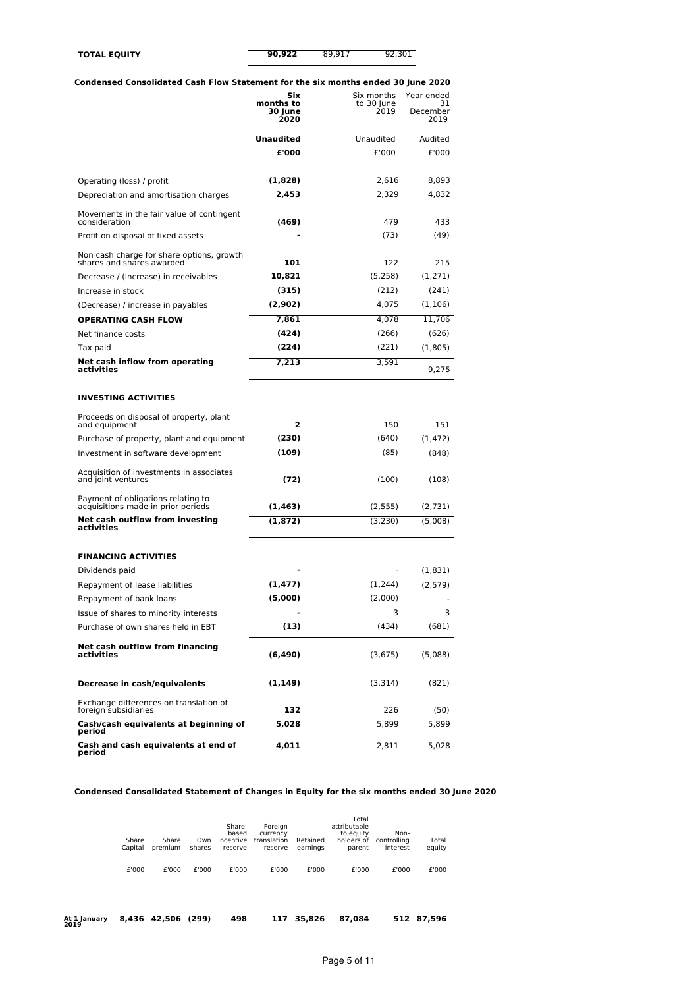| <b>TOTAL EQUITY</b> | 90,922 | 89.917 | 92,301 |
|---------------------|--------|--------|--------|
|                     |        |        |        |

## **Condensed Consolidated Cash Flow Statement for the six months ended 30 June 2020**

|                                                                          | Six<br>months to | Six months<br>to 30 June | Year ended<br>31 |
|--------------------------------------------------------------------------|------------------|--------------------------|------------------|
|                                                                          | 30 June<br>2020  | 2019                     | December<br>2019 |
|                                                                          | <b>Unaudited</b> | Unaudited                | Audited          |
|                                                                          | £'000            | £'000                    | £'000            |
| Operating (loss) / profit                                                | (1,828)          | 2,616                    | 8,893            |
| Depreciation and amortisation charges                                    | 2,453            | 2,329                    | 4,832            |
| Movements in the fair value of contingent<br>consideration               | (469)            | 479                      | 433              |
| Profit on disposal of fixed assets                                       |                  | (73)                     | (49)             |
| Non cash charge for share options, growth<br>shares and shares awarded   | 101              | 122                      | 215              |
| Decrease / (increase) in receivables                                     | 10,821           | (5,258)                  | (1,271)          |
| Increase in stock                                                        | (315)            | (212)                    | (241)            |
| (Decrease) / increase in payables                                        | (2,902)          | 4,075                    | (1, 106)         |
| <b>OPERATING CASH FLOW</b>                                               | 7,861            | 4,078                    | 11,706           |
| Net finance costs                                                        | (424)            | (266)                    | (626)            |
| Tax paid                                                                 | (224)            | (221)                    | (1,805)          |
| Net cash inflow from operating<br>activities                             | 7,213            | 3,591                    | 9,275            |
| <b>INVESTING ACTIVITIES</b>                                              |                  |                          |                  |
| Proceeds on disposal of property, plant<br>and equipment                 | 2                | 150                      | 151              |
| Purchase of property, plant and equipment                                | (230)            | (640)                    | (1, 472)         |
| Investment in software development                                       | (109)            | (85)                     | (848)            |
| Acquisition of investments in associates<br>and joint ventures           | (72)             | (100)                    | (108)            |
| Payment of obligations relating to<br>acquisitions made in prior periods | (1, 463)         | (2, 555)                 | (2,731)          |
| Net cash outflow from investing<br>activities                            | (1, 872)         | (3,230)                  | (5,008)          |
| <b>FINANCING ACTIVITIES</b>                                              |                  |                          |                  |
| Dividends paid                                                           |                  |                          | (1,831)          |
| Repayment of lease liabilities                                           | (1, 477)         | (1,244)                  | (2,579)          |
| Repayment of bank loans                                                  | (5,000)          | (2,000)                  |                  |
| Issue of shares to minority interests                                    |                  | 3                        | 3                |
| Purchase of own shares held in EBT                                       | (13)             | (434)                    | (681)            |
| Net cash outflow from financing<br>activities                            | (6, 490)         | (3,675)                  | (5,088)          |
| Decrease in cash/equivalents                                             | (1, 149)         | (3,314)                  | (821)            |
| Exchange differences on translation of<br>foreign subsidiaries           | 132              | 226                      | (50)             |
| Cash/cash equivalents at beginning of<br>period                          | 5,028            | 5,899                    | 5,899            |
| Cash and cash equivalents at end of<br>period                            | 4,011            | 2,811                    | 5,028            |

# **Condensed Consolidated Statement of Changes in Equity for the six months ended 30 June 2020**

| At 1 January<br>2019 |                  | 8.436 42.506     | (299)         | 498                                     | 117                                           | 35,826               | 87,084                                                     |                                 | 512 87,596      |
|----------------------|------------------|------------------|---------------|-----------------------------------------|-----------------------------------------------|----------------------|------------------------------------------------------------|---------------------------------|-----------------|
|                      | £'000            | £'000            | £'000         | £'000                                   | £'000                                         | £'000                | £'000                                                      | £'000                           | £'000           |
|                      | Share<br>Capital | Share<br>premium | Own<br>shares | Share-<br>based<br>incentive<br>reserve | Foreign<br>currency<br>translation<br>reserve | Retained<br>earnings | Total<br>attributable<br>to equity<br>holders of<br>parent | Non-<br>controlling<br>interest | Total<br>equity |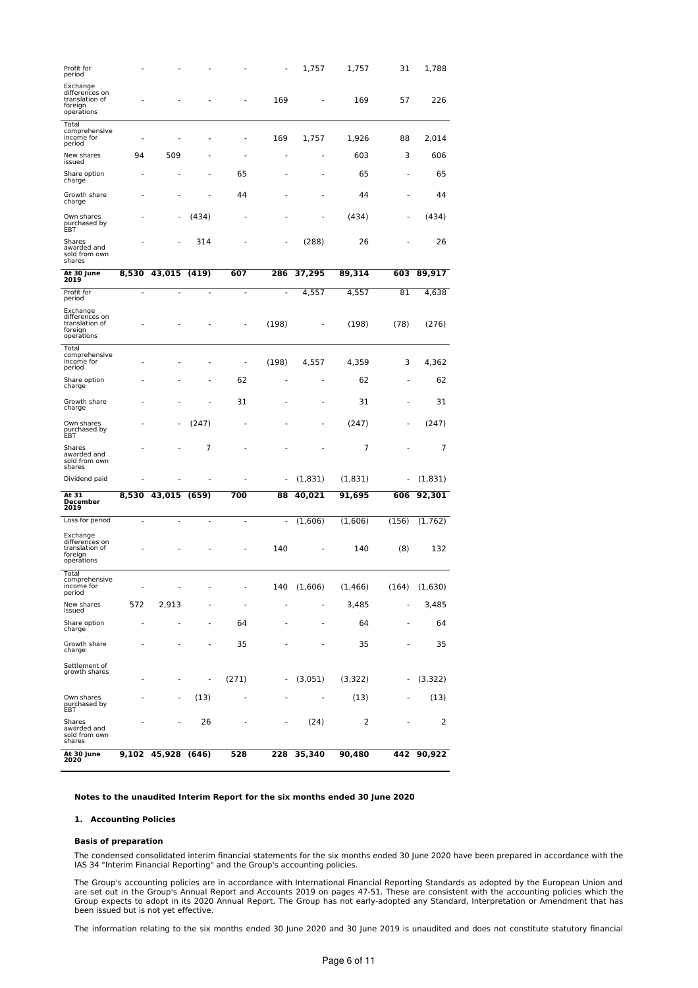| Profit for<br>period                                                  |                          |                              |                          |                          |                          | 1,757                    | 1,757    | 31                       | 1,788    |
|-----------------------------------------------------------------------|--------------------------|------------------------------|--------------------------|--------------------------|--------------------------|--------------------------|----------|--------------------------|----------|
| Exchange<br>differences on<br>translation of<br>foreign<br>operations |                          |                              |                          |                          | 169                      |                          | 169      | 57                       | 226      |
| Total<br>comprehensive<br>income for<br>period                        |                          |                              |                          | Ē,                       | 169                      | 1,757                    | 1,926    | 88                       | 2,014    |
| New shares<br>issued                                                  | 94                       | 509                          |                          |                          |                          | ٠                        | 603      | 3                        | 606      |
| Share option<br>charge                                                |                          |                              |                          | 65                       |                          |                          | 65       | ٠                        | 65       |
| Growth share<br>charge                                                |                          |                              |                          | 44                       |                          | $\overline{a}$           | 44       | ٠                        | 44       |
| Own shares<br>purchased by<br>EBT                                     |                          |                              | (434)                    |                          |                          | ٠                        | (434)    | ۰                        | (434)    |
| Shares<br>awarded and<br>sold from own<br>shares                      |                          |                              | 314                      |                          | ä,                       | (288)                    | 26       | ä,                       | 26       |
| At 30 June<br>2019                                                    | 8,530                    | 43,015                       | (419)                    | 607                      | 286                      | 37,295                   | 89,314   | 603                      | 89,917   |
| Profit for<br>period                                                  | ٠                        | ٠                            | ٠                        | $\overline{a}$           | $\overline{a}$           | 4,557                    | 4,557    | 81                       | 4,638    |
| Exchange<br>differences on<br>translation of<br>foreign<br>operations |                          |                              |                          | ä,                       | (198)                    | ٠                        | (198)    | (78)                     | (276)    |
| Total<br>comprehensive<br>income for<br>period                        |                          |                              |                          |                          | (198)                    | 4,557                    | 4,359    | 3                        | 4,362    |
| Share option<br>charge                                                |                          |                              |                          | 62                       |                          | ٠                        | 62       | ٠                        | 62       |
| Growth share<br>charge                                                |                          |                              | ٠                        | 31                       |                          | ٠                        | 31       | ä,                       | 31       |
| Own shares<br>purchased by<br>EBT                                     |                          |                              | (247)                    |                          |                          |                          | (247)    |                          | (247)    |
| Shares<br>awarded and<br>sold from own<br>shares                      |                          |                              | 7                        | ä,                       |                          |                          | 7        |                          | 7        |
| Dividend paid                                                         |                          |                              |                          |                          | ä,                       | (1,831)                  | (1,831)  | ä,                       | (1,831)  |
| At 31<br><b>December</b><br>2019                                      | 8,530                    | 43,015                       | (659)                    | 700                      | 88                       | 40,021                   | 91,695   | 606                      | 92,301   |
| Loss for period                                                       | $\overline{\phantom{a}}$ |                              | ÷,                       | $\overline{a}$           | $\overline{\phantom{m}}$ | (1,606)                  | (1,606)  | (156)                    | (1, 762) |
| Exchange<br>differences on<br>translation of<br>foreign<br>operations |                          |                              |                          |                          | 140                      |                          | 140      | (8)                      | 132      |
| Total<br>comprehensive<br>income for<br>period                        |                          |                              |                          |                          | 140                      | (1,606)                  | (1, 466) | (164)                    | (1,630)  |
| New shares<br>issued                                                  | 572                      | 2,913                        | ÷,                       | $\overline{\phantom{a}}$ | ÷,                       | $\overline{\phantom{a}}$ | 3,485    | ٠                        | 3,485    |
| Share option<br>charge                                                | ÷,                       | $\overline{a}$               | ÷,                       | 64                       | ٠                        | ٠                        | 64       | ٠                        | 64       |
| Growth share<br>charge                                                | ä,                       |                              | ä,                       | 35                       |                          | ٠                        | 35       | $\overline{a}$           | 35       |
| Settlement of<br>growth shares                                        | ٠                        | $\qquad \qquad \blacksquare$ | $\overline{\phantom{a}}$ | (271)                    | $\overline{\phantom{a}}$ | (3,051)                  | (3,322)  | ÷,                       | (3,322)  |
| Own shares<br>purchased by<br>EBT                                     |                          |                              | (13)                     | Ē,                       | ٠                        | ٠                        | (13)     | ٠                        | (13)     |
| Shares<br>awarded and<br>sold from own<br>shares                      | ٠                        | $\overline{\phantom{a}}$     | 26                       | $\overline{\phantom{a}}$ | $\overline{\phantom{a}}$ | (24)                     | 2        | $\overline{\phantom{m}}$ | 2        |
| At 30 June<br>2020                                                    | 9,102                    | 45,928                       | (646)                    | 528                      | 228                      | 35,340                   | 90,480   | 442                      | 90,922   |

### **Notes to the unaudited Interim Report for the six months ended 30 June 2020**

### **1. Accounting Policies**

#### **Basis of preparation**

The condensed consolidated interim financial statements for the six months ended 30 June 2020 have been prepared in accordance with the IAS 34 "Interim Financial Reporting" and the Group's accounting policies.

The Group's accounting policies are in accordance with International Financial Reporting Standards as adopted by the European Union and<br>are set out in the Group's Annual Report and Accounts 2019 on pages 47-51. These are c Group expects to adopt in its 2020 Annual Report. The Group has not early-adopted any Standard, Interpretation or Amendment that has been issued but is not yet effective.

The information relating to the six months ended 30 June 2020 and 30 June 2019 is unaudited and does not constitute statutory financial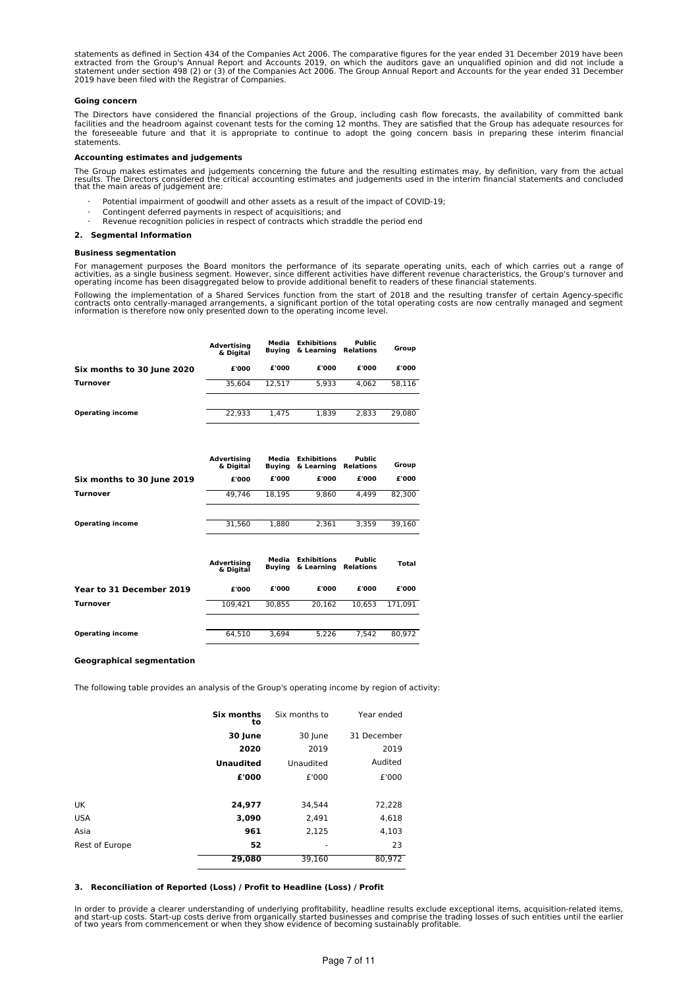statements as defined in Section 434 of the Companies Act 2006. The comparative figures for the year ended 31 December 2019 have been<br>extracted from the Group's Annual Report and Accounts 2019, on which the auditors gave a 2019 have been filed with the Registrar of Companies.

### **Going concern**

The Directors have considered the financial projections of the Group, including cash flow forecasts, the availability of committed bank facilities and the headroom against covenant tests for the coming 12 months. They are satisfied that the Group has adequate resources for the foreseeable future and that it is appropriate to continue to adopt the going concern basis in preparing these interim financial statements.

#### **Accounting estimates and judgements**

The Group makes estimates and judgements concerning the future and the resulting estimates may, by definition, vary from the actual<br>results. The Directors considered the critical accounting estimates and judgements used in

- · Potential impairment of goodwill and other assets as a result of the impact of COVID-19;
- Contingent deferred payments in respect of acquisitions; and
- Revenue recognition policies in respect of contracts which straddle the period end

#### **2. Segmental Information**

#### **Business segmentation**

For management purposes the Board monitors the performance of its separate operating units, each of which carries out a range of<br>activities, as a single business segment. However, since different activities have different operating income has been disaggregated below to provide additional benefit to readers of these financial statements.

Following the implementation of a Shared Services function from the start of 2018 and the resulting transfer of certain Agency-specific<br>contracts onto centrally-managed arrangements, a significant portion of the total oper

|                            | <b>Advertising</b><br>& Digital | Media<br>Buvina | <b>Exhibitions</b><br>& Learning | <b>Public</b><br>Relations | Group  |
|----------------------------|---------------------------------|-----------------|----------------------------------|----------------------------|--------|
| Six months to 30 June 2020 | £'000                           | £'000           | £'000                            | £'000                      | £'000  |
| Turnover                   | 35.604                          | 12.517          | 5.933                            | 4.062                      | 58.116 |
|                            |                                 |                 |                                  |                            |        |
| <b>Operating income</b>    | 22.933                          | 1.475           | 1.839                            | 2.833                      | 29.080 |

|                            | Advertising<br>& Digital | Media<br>Buvina | <b>Exhibitions</b><br>& Learning | <b>Public</b><br>Relations | Group  |
|----------------------------|--------------------------|-----------------|----------------------------------|----------------------------|--------|
| Six months to 30 June 2019 | £'000                    | £'000           | £'000                            | £'000                      | £'000  |
| <b>Turnover</b>            | 49.746                   | 18.195          | 9.860                            | 4.499                      | 82.300 |
|                            |                          |                 |                                  |                            |        |
| <b>Operating income</b>    | 31.560                   | 1.880           | 2.361                            | 3.359                      | 39.160 |

|                          | <b>Advertising</b><br>& Digital | Media<br>Buvina | <b>Exhibitions</b><br>& Learning | Public<br><b>Relations</b> | Total   |
|--------------------------|---------------------------------|-----------------|----------------------------------|----------------------------|---------|
| Year to 31 December 2019 | £'000                           | £'000           | £'000                            | £'000                      | £'000   |
| <b>Turnover</b>          | 109.421                         | 30.855          | 20.162                           | 10.653                     | 171.091 |
|                          |                                 |                 |                                  |                            |         |
| <b>Operating income</b>  | 64.510                          | 3.694           | 5.226                            | 7.542                      | 80.972  |

### **Geographical segmentation**

The following table provides an analysis of the Group's operating income by region of activity:

|                       | Six months<br>to | Six months to | Year ended  |  |
|-----------------------|------------------|---------------|-------------|--|
|                       | 30 June          | 30 June       | 31 December |  |
|                       | 2020             | 2019          | 2019        |  |
|                       | <b>Unaudited</b> | Unaudited     | Audited     |  |
|                       | £'000            | £'000         | £'000       |  |
|                       |                  |               |             |  |
| UK                    | 24,977           | 34,544        | 72,228      |  |
| USA                   | 3,090            | 2,491         | 4,618       |  |
| Asia                  | 961              | 2,125         | 4,103       |  |
| <b>Rest of Europe</b> | 52               | ٠             | 23          |  |
|                       | 29,080           | 39,160        | 80,972      |  |
|                       |                  |               |             |  |

#### **3. Reconciliation of Reported (Loss) / Profit to Headline (Loss) / Profit**

In order to provide a clearer understanding of underlying profitability, headline results exclude exceptional items, acquisition-related items,<br>and start-up costs. Start-up costs derive from organically started businesses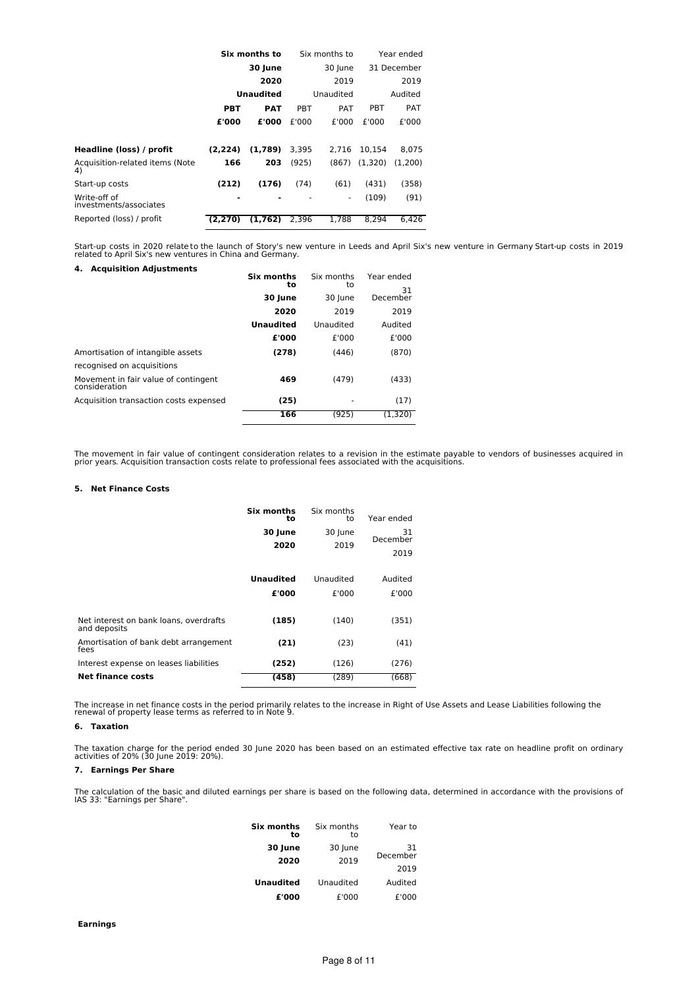|                                        | Six months to |            | Six months to |            | Year ended  |         |
|----------------------------------------|---------------|------------|---------------|------------|-------------|---------|
|                                        | 30 June       |            | 30 June       |            | 31 December |         |
|                                        |               | 2020       |               | 2019       |             | 2019    |
|                                        | Unaudited     |            | Unaudited     |            | Audited     |         |
|                                        | PBT           | <b>PAT</b> | PBT           | <b>PAT</b> | PBT         | PAT     |
|                                        | £'000         | £'000      | £'000         | £'000      | £'000       | £'000   |
| Headline (loss) / profit               | (2.224)       | (1,789)    | 3,395         | 2.716      | 10.154      | 8,075   |
| Acquisition-related items (Note<br>4)  | 166           | 203        | (925)         | (867)      | (1.320)     | (1.200) |
| Start-up costs                         | (212)         | (176)      | (74)          | (61)       | (431)       | (358)   |
| Write-off of<br>investments/associates | -             |            |               | ٠          | (109)       | (91)    |
| Reported (loss) / profit               | (2.270)       | (1.762)    | 2.396         | 1.788      | 8.294       | 6.426   |

Start-up costs in 2020 relateto the launch of Story's new venture in Leeds and April Six's new venture in Germany Start-up costs in 2019<br>related to April Six's new ventures in China and Germany. **4. Acquisition Adjustments**

| 4. Acquisition Adjustments                            | Six months<br>to<br>30 June<br>2020 | Six months<br>to<br>30 June<br>2019 | Year ended<br>31<br>December<br>2019 |
|-------------------------------------------------------|-------------------------------------|-------------------------------------|--------------------------------------|
|                                                       | <b>Unaudited</b>                    | Unaudited                           | Audited                              |
|                                                       | £'000                               | £'000                               | £'000                                |
| Amortisation of intangible assets                     | (278)                               | (446)                               | (870)                                |
| recognised on acquisitions                            |                                     |                                     |                                      |
| Movement in fair value of contingent<br>consideration | 469                                 | (479)                               | (433)                                |
| Acquisition transaction costs expensed                | (25)                                |                                     | (17)                                 |
|                                                       | 166                                 | (925)                               | (1.320)                              |

The movement in fair value of contingent consideration relates to a revision in the estimate payable to vendors of businesses acquired in<br>prior years. Acquisition transaction costs relate to professional fees associated wi

### **5. Net Finance Costs**

|                                                        | Six months<br>to<br>30 June<br>2020 | Six months<br>to<br>30 June<br>2019 | Year ended<br>31<br>December<br>2019 |
|--------------------------------------------------------|-------------------------------------|-------------------------------------|--------------------------------------|
|                                                        | <b>Unaudited</b><br>£'000           | Unaudited<br>£'000                  | Audited<br>£'000                     |
| Net interest on bank loans, overdrafts<br>and deposits | (185)                               | (140)                               | (351)                                |
| Amortisation of bank debt arrangement<br>fees          | (21)                                | (23)                                | (41)                                 |
| Interest expense on leases liabilities                 | (252)                               | (126)                               | (276)                                |
| <b>Net finance costs</b>                               | (458)                               | (289)                               | (668)                                |

The increase in net finance costs in the period primarily relates to the increase in Right of Use Assets and Lease Liabilities following the renewal of property lease terms as referred to in Note 9.

## **6. Taxation**

The taxation charge for the period ended 30 June 2020 has been based on an estimated effective tax rate on headline profit on ordinary activities of 20% (30 June 2019: 20%).

### **7. Earnings Per Share**

The calculation of the basic and diluted earnings per share is based on the following data, determined in accordance with the provisions of IAS 33: "Earnings per Share".

| Six months<br>t٥ | Six months<br>to | Year to        |
|------------------|------------------|----------------|
| 30 June          | 30 June          | 31<br>December |
| 2020             | 2019             | 2019           |
| <b>Unaudited</b> | Unaudited        | Audited        |
| £'000            | £'000            | £'000          |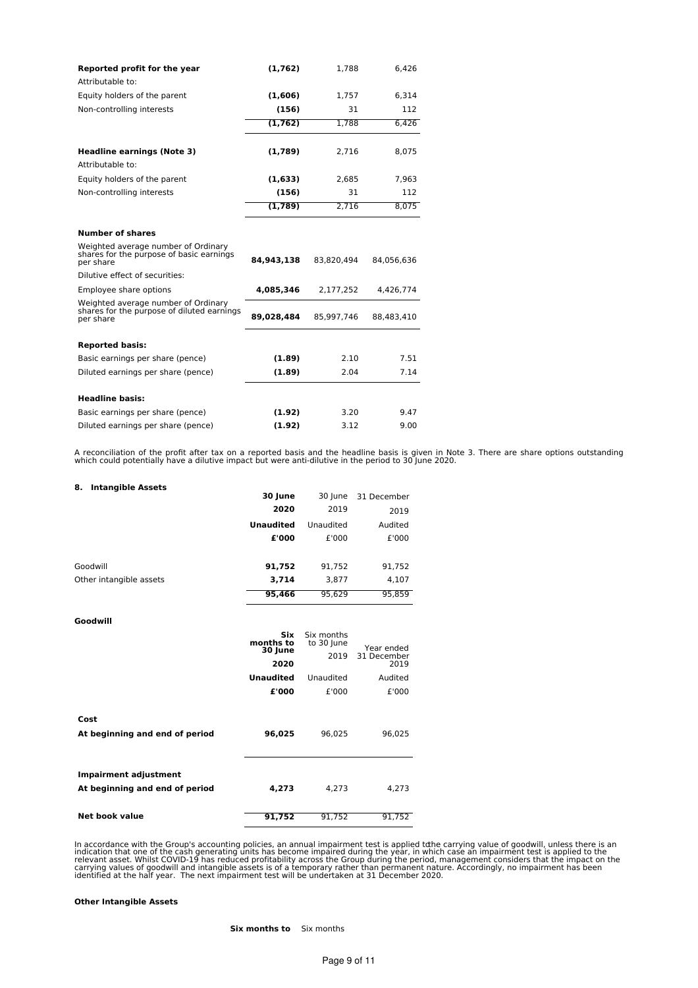| Reported profit for the year                                                                   | (1,762)    | 1,788      | 6,426      |
|------------------------------------------------------------------------------------------------|------------|------------|------------|
| Attributable to:                                                                               |            |            |            |
| Equity holders of the parent                                                                   | (1,606)    | 1.757      | 6.314      |
| Non-controlling interests                                                                      | (156)      | 31         | 112        |
|                                                                                                | (1, 762)   | 1.788      | 6.426      |
| <b>Headline earnings (Note 3)</b>                                                              | (1,789)    | 2.716      | 8,075      |
| Attributable to:                                                                               |            |            |            |
| Equity holders of the parent                                                                   | (1,633)    | 2,685      | 7,963      |
| Non-controlling interests                                                                      | (156)      | 31         | 112        |
|                                                                                                | (1,789)    | 2.716      | 8.075      |
| <b>Number of shares</b>                                                                        |            |            |            |
| Weighted average number of Ordinary<br>shares for the purpose of basic earnings<br>per share   | 84,943,138 | 83,820,494 | 84,056,636 |
| Dilutive effect of securities:                                                                 |            |            |            |
| Employee share options                                                                         | 4,085,346  | 2,177,252  | 4,426,774  |
| Weighted average number of Ordinary<br>shares for the purpose of diluted earnings<br>per share | 89,028,484 | 85,997,746 | 88.483.410 |
| <b>Reported basis:</b>                                                                         |            |            |            |
| Basic earnings per share (pence)                                                               | (1.89)     | 2.10       | 7.51       |
| Diluted earnings per share (pence)                                                             | (1.89)     | 2.04       | 7.14       |
| <b>Headline basis:</b>                                                                         |            |            |            |
| Basic earnings per share (pence)                                                               | (1.92)     | 3.20       | 9.47       |
| Diluted earnings per share (pence)                                                             | (1.92)     | 3.12       | 9.00       |

A reconciliation of the profit after tax on a reported basis and the headline basis is given in Note 3. There are share options outstanding which could potentially have a dilutive impact but were anti-dilutive in the perio

| <b>Intangible Assets</b><br>8. |                         |                          |                     |
|--------------------------------|-------------------------|--------------------------|---------------------|
|                                | 30 June                 | 30 June                  | 31 December         |
|                                | 2020                    | 2019                     | 2019                |
|                                | <b>Unaudited</b>        | Unaudited                | Audited             |
|                                | £'000                   | £'000                    | £'000               |
| Goodwill                       | 91,752                  | 91,752                   | 91,752              |
| Other intangible assets        | 3,714                   | 3,877                    | 4,107               |
|                                | 95,466                  | 95,629                   | 95,859              |
| Goodwill                       |                         |                          |                     |
|                                | <b>Six</b><br>months to | Six months<br>to 30 June | Year ended          |
|                                | 30 June<br>2020         | 2019                     | 31 December<br>2019 |
|                                | <b>Unaudited</b>        | Unaudited                | Audited             |
|                                | £'000                   | £'000                    | £'000               |
| Cost                           |                         |                          |                     |
| At beginning and end of period | 96,025                  | 96,025                   | 96,025              |
| <b>Impairment adjustment</b>   |                         |                          |                     |
| At beginning and end of period | 4,273                   | 4,273                    | 4,273               |
| <b>Net book value</b>          | 91.752                  | 91.752                   | 91.752              |

In accordance with the Group's accounting policies, an annual impairment test is applied tdhe carrying value of goodwill, unless there is an<br>indication that one of the cash generating units has become impaired during the y

### **Other Intangible Assets**

**Six months to** Six months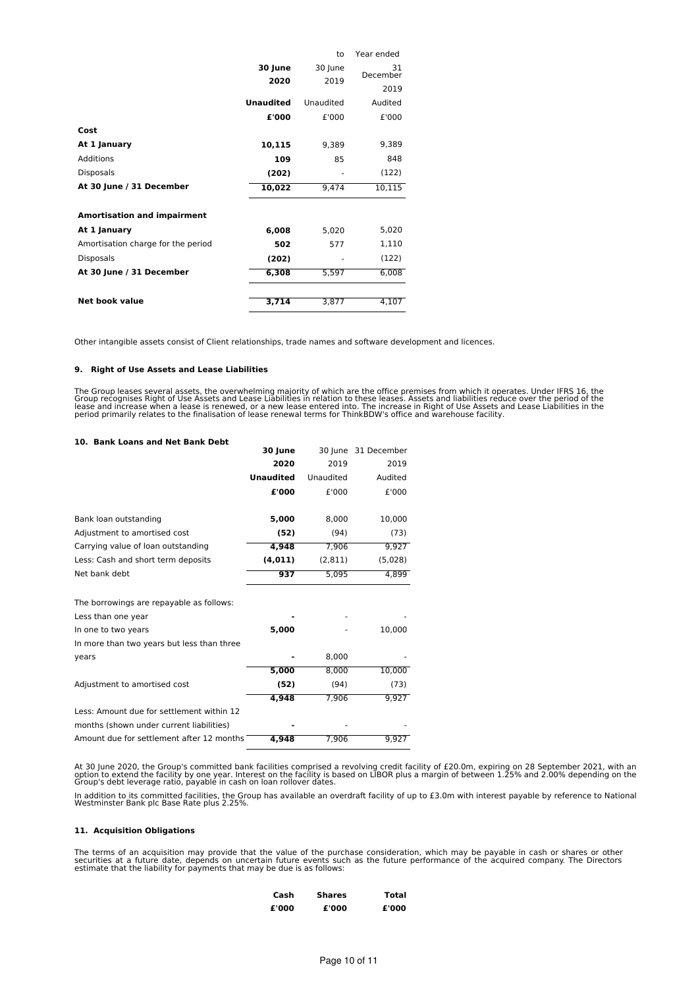|                                    |                  | to        | Year ended     |
|------------------------------------|------------------|-----------|----------------|
|                                    | 30 June          | 30 June   | 31<br>December |
|                                    | 2020             | 2019      |                |
|                                    |                  |           | 2019           |
|                                    | <b>Unaudited</b> | Unaudited | Audited        |
|                                    | £'000            | £'000     | £'000          |
| Cost                               |                  |           |                |
| At 1 January                       | 10,115           | 9,389     | 9,389          |
| <b>Additions</b>                   | 109              | 85        | 848            |
| <b>Disposals</b>                   | (202)            |           | (122)          |
| At 30 June / 31 December           | 10,022           | 9,474     | 10,115         |
|                                    |                  |           |                |
| <b>Amortisation and impairment</b> |                  |           |                |
| At 1 January                       | 6,008            | 5,020     | 5,020          |
| Amortisation charge for the period | 502              | 577       | 1,110          |
| <b>Disposals</b>                   | (202)            |           | (122)          |
| At 30 June / 31 December           | 6,308            | 5,597     | 6,008          |
|                                    |                  |           |                |
| Net book value                     | 3,714            | 3,877     | 4,107          |

Other intangible assets consist of Client relationships, trade names and software development and licences.

#### **9. Right of Use Assets and Lease Liabilities**

The Group leases several assets, the overwhelming majority of which are the office premises from which it operates. Under IFRS 16, the<br>Group recognises Right of Use Assets and Lease Liabilities in relation to these leases.

### **10. Bank Loans and Net Bank Debt**

| 10. Bank Loans and Net Bank Debt           |                  |           |                     |
|--------------------------------------------|------------------|-----------|---------------------|
|                                            | 30 June          |           | 30 June 31 December |
|                                            | 2020             | 2019      | 2019                |
|                                            | <b>Unaudited</b> | Unaudited | Audited             |
|                                            | £'000            | £'000     | £'000               |
| Bank loan outstanding                      | 5,000            | 8,000     | 10,000              |
| Adjustment to amortised cost               | (52)             | (94)      | (73)                |
| Carrying value of loan outstanding         | 4,948            | 7,906     | 9,927               |
| Less: Cash and short term deposits         | (4, 011)         | (2, 811)  | (5,028)             |
| Net bank debt                              | 937              | 5,095     | 4,899               |
| The borrowings are repayable as follows:   |                  |           |                     |
| Less than one year                         |                  |           |                     |
| In one to two years                        | 5,000            |           | 10,000              |
| In more than two years but less than three |                  |           |                     |
| years                                      |                  | 8,000     |                     |
|                                            | 5,000            | 8,000     | 10,000              |
| Adjustment to amortised cost               | (52)             | (94)      | (73)                |
|                                            | 4,948            | 7,906     | 9,927               |
| Less: Amount due for settlement within 12  |                  |           |                     |
| months (shown under current liabilities)   |                  |           |                     |
| Amount due for settlement after 12 months  | 4,948            | 7.906     | 9.927               |

At 30 June 2020, the Group's committed bank facilities comprised a revolving credit facility of £20.0m, expiring on 28 September 2021, with an<br>option to extend the facility by one year. Interest on the facility is based on

In addition to its committed facilities, the Group has available an overdraft facility of up to £3.0m with interest payable by reference to National Westminster Bank plc Base Rate plus 2.25%.

#### **11. Acquisition Obligations**

The terms of an acquisition may provide that the value of the purchase consideration, which may be payable in cash or shares or other<br>securities at a future date, depends on uncertain future events such as the future perfo

| Cash  | Shares | Total |
|-------|--------|-------|
| £'000 | £'000  | £'000 |